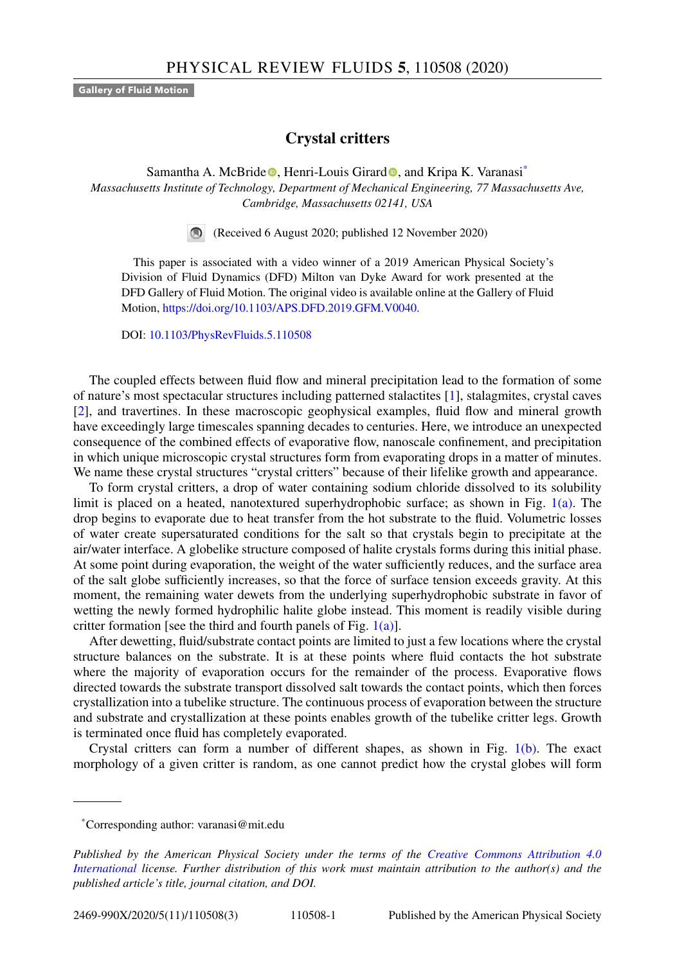**Gallery of Fluid Motion**

## **Crystal critters**

Samantha A. McBri[d](https://orcid.org/0000-0003-0834-8047)e **.** Henri-Louis Girard **.** and Kripa K. Varanasi<sup>\*</sup> *Massachusetts Institute of Technology, Department of Mechanical Engineering, 77 Massachusetts Ave, Cambridge, Massachusetts 02141, USA*

(Received 6 August 2020; published 12 November 2020)

This paper is associated with a video winner of a 2019 American Physical Society's Division of Fluid Dynamics (DFD) Milton van Dyke Award for work presented at the DFD Gallery of Fluid Motion. The original video is available online at the Gallery of Fluid Motion, [https://doi.org/10.1103/APS.DFD.2019.GFM.V0040.](https://doi.org/10.1103/APS.DFD.2019.GFM.V0040)

DOI: [10.1103/PhysRevFluids.5.110508](https://doi.org/10.1103/PhysRevFluids.5.110508)

The coupled effects between fluid flow and mineral precipitation lead to the formation of some of nature's most spectacular structures including patterned stalactites [\[1\]](#page-2-0), stalagmites, crystal caves [\[2\]](#page-2-0), and travertines. In these macroscopic geophysical examples, fluid flow and mineral growth have exceedingly large timescales spanning decades to centuries. Here, we introduce an unexpected consequence of the combined effects of evaporative flow, nanoscale confinement, and precipitation in which unique microscopic crystal structures form from evaporating drops in a matter of minutes. We name these crystal structures "crystal critters" because of their lifelike growth and appearance.

To form crystal critters, a drop of water containing sodium chloride dissolved to its solubility limit is placed on a heated, nanotextured superhydrophobic surface; as shown in Fig. [1\(a\).](#page-1-0) The drop begins to evaporate due to heat transfer from the hot substrate to the fluid. Volumetric losses of water create supersaturated conditions for the salt so that crystals begin to precipitate at the air/water interface. A globelike structure composed of halite crystals forms during this initial phase. At some point during evaporation, the weight of the water sufficiently reduces, and the surface area of the salt globe sufficiently increases, so that the force of surface tension exceeds gravity. At this moment, the remaining water dewets from the underlying superhydrophobic substrate in favor of wetting the newly formed hydrophilic halite globe instead. This moment is readily visible during critter formation [see the third and fourth panels of Fig.  $1(a)$ ].

After dewetting, fluid/substrate contact points are limited to just a few locations where the crystal structure balances on the substrate. It is at these points where fluid contacts the hot substrate where the majority of evaporation occurs for the remainder of the process. Evaporative flows directed towards the substrate transport dissolved salt towards the contact points, which then forces crystallization into a tubelike structure. The continuous process of evaporation between the structure and substrate and crystallization at these points enables growth of the tubelike critter legs. Growth is terminated once fluid has completely evaporated.

Crystal critters can form a number of different shapes, as shown in Fig. [1\(b\).](#page-1-0) The exact morphology of a given critter is random, as one cannot predict how the crystal globes will form

<sup>\*</sup>Corresponding author: varanasi@mit.edu

*Published by the American Physical Society under the terms of the Creative Commons Attribution 4.0 International [license. Further distribution of this work must maintain attribution to the author\(s\) and the](https://creativecommons.org/licenses/by/4.0/) published article's title, journal citation, and DOI.*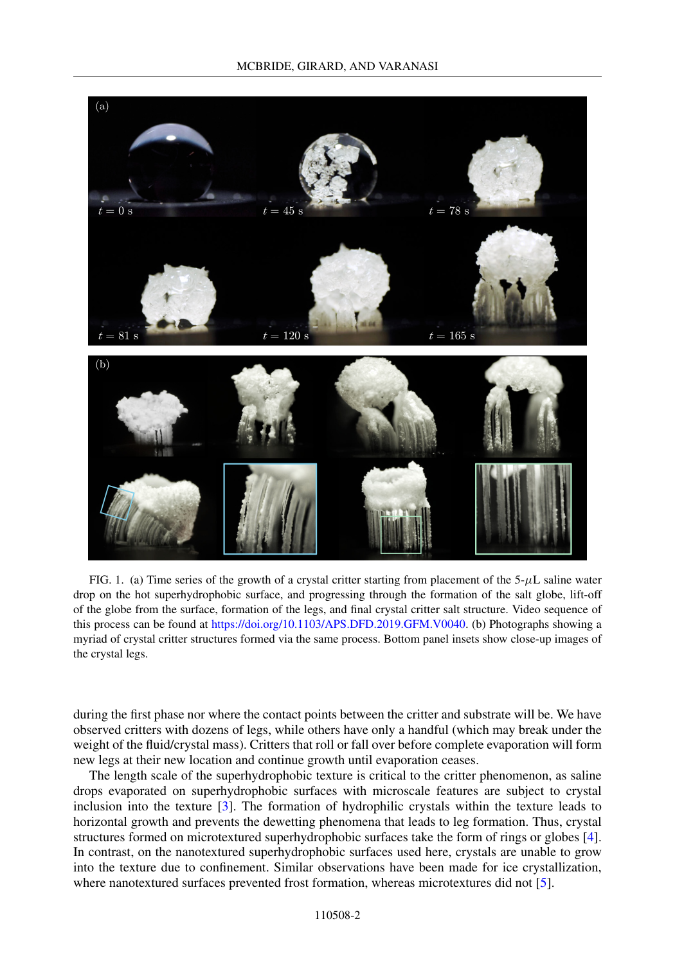<span id="page-1-0"></span>

FIG. 1. (a) Time series of the growth of a crystal critter starting from placement of the  $5-\mu$ L saline water drop on the hot superhydrophobic surface, and progressing through the formation of the salt globe, lift-off of the globe from the surface, formation of the legs, and final crystal critter salt structure. Video sequence of this process can be found at [https://doi.org/10.1103/APS.DFD.2019.GFM.V0040.](https://doi.org/10.1103/APS.DFD.2019.GFM.V0040) (b) Photographs showing a myriad of crystal critter structures formed via the same process. Bottom panel insets show close-up images of the crystal legs.

during the first phase nor where the contact points between the critter and substrate will be. We have observed critters with dozens of legs, while others have only a handful (which may break under the weight of the fluid/crystal mass). Critters that roll or fall over before complete evaporation will form new legs at their new location and continue growth until evaporation ceases.

The length scale of the superhydrophobic texture is critical to the critter phenomenon, as saline drops evaporated on superhydrophobic surfaces with microscale features are subject to crystal inclusion into the texture [\[3\]](#page-2-0). The formation of hydrophilic crystals within the texture leads to horizontal growth and prevents the dewetting phenomena that leads to leg formation. Thus, crystal structures formed on microtextured superhydrophobic surfaces take the form of rings or globes [\[4\]](#page-2-0). In contrast, on the nanotextured superhydrophobic surfaces used here, crystals are unable to grow into the texture due to confinement. Similar observations have been made for ice crystallization, where nanotextured surfaces prevented frost formation, whereas microtextures did not [\[5\]](#page-2-0).